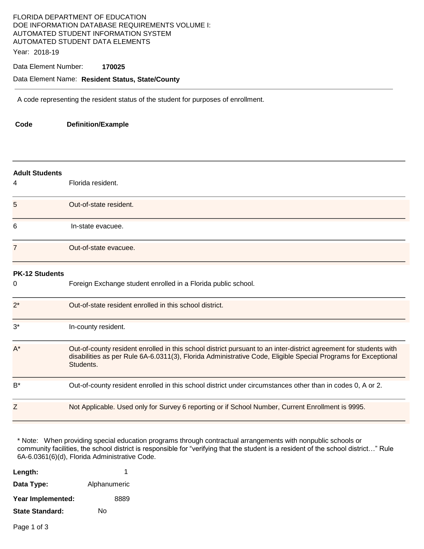# FLORIDA DEPARTMENT OF EDUCATION DOE INFORMATION DATABASE REQUIREMENTS VOLUME I: AUTOMATED STUDENT INFORMATION SYSTEM AUTOMATED STUDENT DATA ELEMENTS

Year: 2018-19

### Data Element Number: **170025**

### Data Element Name: **Resident Status, State/County**

A code representing the resident status of the student for purposes of enrollment.

**Code Definition/Example** 

| <b>Adult Students</b><br>4 | Florida resident.                                                                                                                                                                                                                               |
|----------------------------|-------------------------------------------------------------------------------------------------------------------------------------------------------------------------------------------------------------------------------------------------|
| 5                          | Out-of-state resident.                                                                                                                                                                                                                          |
| 6                          | In-state evacuee.                                                                                                                                                                                                                               |
| $\overline{7}$             | Out-of-state evacuee.                                                                                                                                                                                                                           |
| <b>PK-12 Students</b><br>0 | Foreign Exchange student enrolled in a Florida public school.                                                                                                                                                                                   |
| $2^*$                      | Out-of-state resident enrolled in this school district.                                                                                                                                                                                         |
| $3^*$                      | In-county resident.                                                                                                                                                                                                                             |
| $A^*$                      | Out-of-county resident enrolled in this school district pursuant to an inter-district agreement for students with<br>disabilities as per Rule 6A-6.0311(3), Florida Administrative Code, Eligible Special Programs for Exceptional<br>Students. |
| $B^*$                      | Out-of-county resident enrolled in this school district under circumstances other than in codes 0, A or 2.                                                                                                                                      |
| Ζ                          | Not Applicable. Used only for Survey 6 reporting or if School Number, Current Enrollment is 9995.                                                                                                                                               |

\* Note: When providing special education programs through contractual arrangements with nonpublic schools or community facilities, the school district is responsible for "verifying that the student is a resident of the school district…" Rule 6A-6.0361(6)(d), Florida Administrative Code.

| Length:           | 1            |
|-------------------|--------------|
| Data Type:        | Alphanumeric |
| Year Implemented: | 8889         |
| State Standard:   | N٥           |